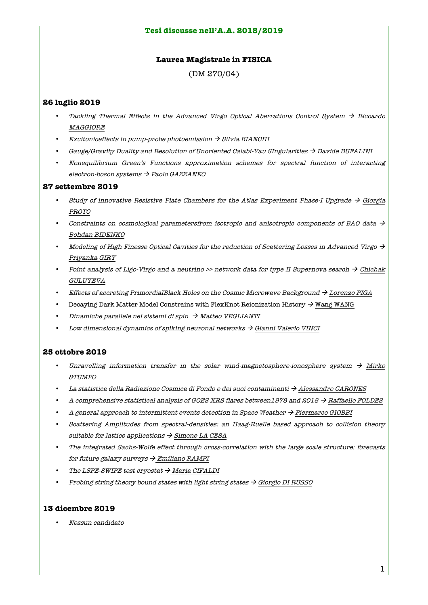## **Tesi discusse nell'A.A. 2018/2019**

## **Laurea Magistrale in FISICA**

(DM 270/04)

# **26 luglio 2019**

- Tackling Thermal Effects in the Advanced Virgo Optical Aberrations Control System  $\rightarrow$  Riccardo MAGGIORE
- Excitoniceffects in pump-probe photoemission  $\rightarrow$  Silvia BIANCHI
- Gauge/Gravity Duality and Resolution of Unoriented Calabi-Yau SIngularities  $\rightarrow$  Davide BUFALINI
- Nonequilibrium Green's Functions approximation schemes for spectral function of interacting electron-boson systems  $\rightarrow$  Paolo GAZZANEO

#### **27 settembre 2019**

- Study of innovative Resistive Plate Chambers for the Atlas Experiment Phase-I Upgrade  $\rightarrow$  Giorgia PROTO
- Constraints on cosmological parametersfrom isotropic and anisotropic components of BAO data  $\rightarrow$ Bohdan BIDENKO
- Modeling of High Finesse Optical Cavities for the reduction of Scattering Losses in Advanced Virgo  $\rightarrow$ Priyanka GIRY
- Point analysis of Ligo-Virgo and a neutrino >> network data for type II Supernova search  $\rightarrow$  Chichak GULUYEVA
- Effects of accreting PrimordialBlack Holes on the Cosmic Microwave Background  $\rightarrow$  Lorenzo PIGA
- Decaying Dark Matter Model Constrains with FlexKnot Reionization History  $\rightarrow$  Wang WANG
- Dinamiche parallele nei sistemi di spin  $\rightarrow$  Matteo VEGLIANTI
- Low dimensional dynamics of spiking neuronal networks  $\rightarrow$  Gianni Valerio VINCI

### **25 ottobre 2019**

- Unravelling information transfer in the solar wind-magnetosphere-ionosphere system  $\rightarrow$  Mirko STUMPO
- La statistica della Radiazione Cosmica di Fondo e dei suoi contaminanti  $\rightarrow$  Alessandro CARONES
- A comprehensive statistical analysis of GOES XRS flares between1978 and 2018  $\rightarrow$  Raffaello FOLDES
- A general approach to intermittent events detection in Space Weather  $\rightarrow$  Piermarco GIOBBI
- Scattering Amplitudes from spectral-densities: an Haag-Ruelle based approach to collision theory suitable for lattice applications  $\rightarrow$  Simone LA CESA
- The integrated Sachs-Wolfe effect through cross-correlation with the large scale structure: forecasts for future galaxy surveys  $\rightarrow$  Emiliano RAMPI
- The LSPE-SWIPE test cryostat  $\rightarrow$  Maria CIFALDI
- Probing string theory bound states with light string states  $\rightarrow$  Giorgio DI RUSSO

# **13 dicembre 2019**

• Nessun candidato